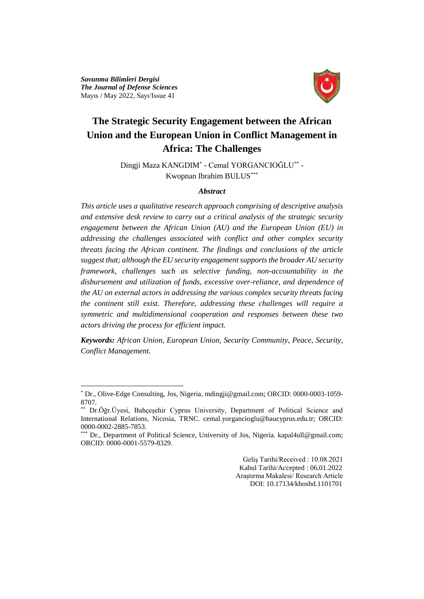*Savunma Bilimleri Dergisi The Journal of Defense Sciences* Mayıs / May 2022, Sayı/Issue 41

 $\overline{a}$ 



# **The Strategic Security Engagement between the African Union and the European Union in Conflict Management in Africa: The Challenges**

Dingji Maza KANGDIM\* - Cemal YORGANCIOĞLU\*\* - Kwopnan Ibrahim BULUS\*\*\*

### *Abstract*

*This article uses a qualitative research approach comprising of descriptive analysis and extensive desk review to carry out a critical analysis of the strategic security engagement between the African Union (AU) and the European Union (EU) in addressing the challenges associated with conflict and other complex security threats facing the African continent. The findings and conclusions of the article suggest that; although the EU security engagement supports the broader AU security framework, challenges such as selective funding, non-accountability in the disbursement and utilization of funds, excessive over-reliance, and dependence of the AU on external actors in addressing the various complex security threats facing the continent still exist. Therefore, addressing these challenges will require a symmetric and multidimensional cooperation and responses between these two actors driving the process for efficient impact.*

*Keywords: African Union, European Union, Security Community, Peace, Security, Conflict Management.*

 Geliş Tarihi/Received : 10.08.2021 Kabul Tarihi/Accepted : 06.01.2022 Araştırma Makalesi/ Research Article DOI: 10.17134/khosbd.1101701

<sup>\*</sup> Dr., Olive-Edge Consulting, Jos, Nigeria, mdingji@gmail.com; ORCID: 0000-0003-1059- 8707.

Dr.Öğr.Üyesi, Bahçeşehir Cyprus University, Department of Political Science and International Relations, Nicosia, TRNC. cemal.yorgancioglu@baucyprus.edu.tr; ORCID: 0000-0002-2885-7853.

Dr., Department of Political Science, University of Jos, Nigeria. kapal4ull@gmail.com; ORCID: 0000-0001-5579-8329.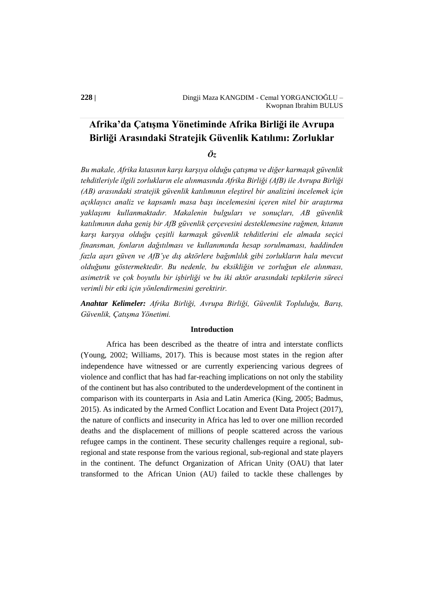## **Afrika'da Çatışma Yönetiminde Afrika Birliği ile Avrupa Birliği Arasındaki Stratejik Güvenlik Katılımı: Zorluklar**

*Öz*

*Bu makale, Afrika kıtasının karşı karşıya olduğu çatışma ve diğer karmaşık güvenlik tehditleriyle ilgili zorlukların ele alınmasında Afrika Birliği (AfB) ile Avrupa Birliği (AB) arasındaki stratejik güvenlik katılımının eleştirel bir analizini incelemek için açıklayıcı analiz ve kapsamlı masa başı incelemesini içeren nitel bir araştırma yaklaşımı kullanmaktadır. Makalenin bulguları ve sonuçları, AB güvenlik katılımının daha geniş bir AfB güvenlik çerçevesini desteklemesine rağmen, kıtanın karşı karşıya olduğu çeşitli karmaşık güvenlik tehditlerini ele almada seçici finansman, fonların dağıtılması ve kullanımında hesap sorulmaması, haddinden fazla aşırı güven ve AfB'ye dış aktörlere bağımlılık gibi zorlukların hala mevcut olduğunu göstermektedir. Bu nedenle, bu eksikliğin ve zorluğun ele alınması, asimetrik ve çok boyutlu bir işbirliği ve bu iki aktör arasındaki tepkilerin süreci verimli bir etki için yönlendirmesini gerektirir.*

*Anahtar Kelimeler: Afrika Birliği, Avrupa Birliği, Güvenlik Topluluğu, Barış, Güvenlik, Çatışma Yönetimi.*

#### **Introduction**

Africa has been described as the theatre of intra and interstate conflicts (Young, 2002; Williams, 2017). This is because most states in the region after independence have witnessed or are currently experiencing various degrees of violence and conflict that has had far-reaching implications on not only the stability of the continent but has also contributed to the underdevelopment of the continent in comparison with its counterparts in Asia and Latin America (King, 2005; Badmus, 2015). As indicated by the Armed Conflict Location and Event Data Project (2017), the nature of conflicts and insecurity in Africa has led to over one million recorded deaths and the displacement of millions of people scattered across the various refugee camps in the continent. These security challenges require a regional, subregional and state response from the various regional, sub-regional and state players in the continent. The defunct Organization of African Unity (OAU) that later transformed to the African Union (AU) failed to tackle these challenges by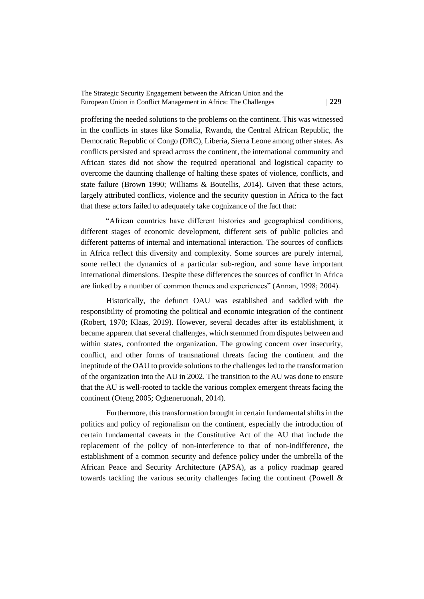proffering the needed solutions to the problems on the continent. This was witnessed in the conflicts in states like Somalia, Rwanda, the Central African Republic, the Democratic Republic of Congo (DRC), Liberia, Sierra Leone among other states. As conflicts persisted and spread across the continent, the international community and African states did not show the required operational and logistical capacity to overcome the daunting challenge of halting these spates of violence, conflicts, and state failure (Brown 1990; Williams & Boutellis, 2014). Given that these actors, largely attributed conflicts, violence and the security question in Africa to the fact that these actors failed to adequately take cognizance of the fact that:

"African countries have different histories and geographical conditions, different stages of economic development, different sets of public policies and different patterns of internal and international interaction. The sources of conflicts in Africa reflect this diversity and complexity. Some sources are purely internal, some reflect the dynamics of a particular sub-region, and some have important international dimensions. Despite these differences the sources of conflict in Africa are linked by a number of common themes and experiences" (Annan, 1998; 2004).

Historically, the defunct OAU was established and saddled with the responsibility of promoting the political and economic integration of the continent (Robert, 1970; Klaas, 2019). However, several decades after its establishment, it became apparent that several challenges, which stemmed from disputes between and within states, confronted the organization. The growing concern over insecurity, conflict, and other forms of transnational threats facing the continent and the ineptitude of the OAU to provide solutions to the challenges led to the transformation of the organization into the AU in 2002. The transition to the AU was done to ensure that the AU is well-rooted to tackle the various complex emergent threats facing the continent (Oteng 2005; Ogheneruonah, 2014).

Furthermore, this transformation brought in certain fundamental shifts in the politics and policy of regionalism on the continent, especially the introduction of certain fundamental caveats in the Constitutive Act of the AU that include the replacement of the policy of non-interference to that of non-indifference, the establishment of a common security and defence policy under the umbrella of the African Peace and Security Architecture (APSA), as a policy roadmap geared towards tackling the various security challenges facing the continent (Powell &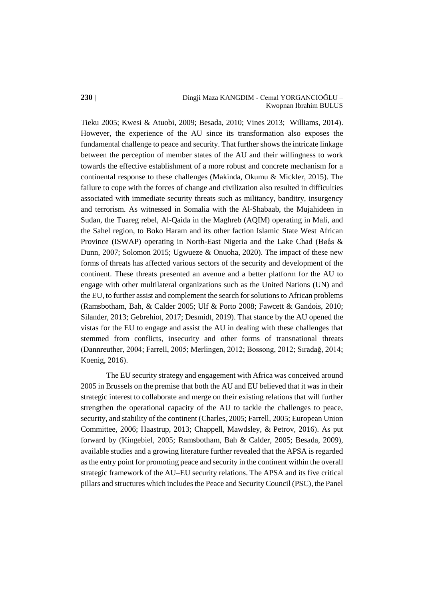#### **230 |** Dingji Maza KANGDIM - Cemal YORGANCIOĞLU – Kwopnan Ibrahim BULUS

Tieku 2005; Kwesi & Atuobi, 2009; Besada, 2010; Vines 2013; Williams, 2014). However, the experience of the AU since its transformation also exposes the fundamental challenge to peace and security. That further shows the intricate linkage between the perception of member states of the AU and their willingness to work towards the effective establishment of a more robust and concrete mechanism for a continental response to these challenges (Makinda, Okumu & Mickler, 2015). The failure to cope with the forces of change and civilization also resulted in difficulties associated with immediate security threats such as militancy, banditry, insurgency and terrorism. As witnessed in Somalia with the Al-Shabaab, the Mujahideen in Sudan, the Tuareg rebel, Al-Qaida in the Maghreb (AQIM) operating in Mali, and the Sahel region, to Boko Haram and its other faction Islamic State West African Province (ISWAP) operating in North-East Nigeria and the Lake Chad (Bøås & Dunn, 2007; Solomon 2015; Ugwueze & Onuoha, 2020). The impact of these new forms of threats has affected various sectors of the security and development of the continent. These threats presented an avenue and a better platform for the AU to engage with other multilateral organizations such as the United Nations (UN) and the EU, to further assist and complement the search for solutions to African problems (Ramsbotham, Bah, & Calder 2005; Ulf & Porto 2008; Fawcett & Gandois, 2010; Silander, 2013; Gebrehiot, 2017; Desmidt, 2019). That stance by the AU opened the vistas for the EU to engage and assist the AU in dealing with these challenges that stemmed from conflicts, insecurity and other forms of transnational threats (Dannreuther, 2004; Farrell, 2005; Merlingen, 2012; Bossong, 2012; Sıradağ, 2014; Koenig, 2016).

The EU security strategy and engagement with Africa was conceived around 2005 in Brussels on the premise that both the AU and EU believed that it was in their strategic interest to collaborate and merge on their existing relations that will further strengthen the operational capacity of the AU to tackle the challenges to peace, security, and stability of the continent (Charles, 2005; Farrell, 2005; European Union Committee, 2006; Haastrup, 2013; Chappell, Mawdsley, & Petrov, 2016). As put forward by (Kingebiel, 2005; Ramsbotham, Bah & Calder, 2005; Besada, 2009), available studies and a growing literature further revealed that the APSA is regarded as the entry point for promoting peace and security in the continent within the overall strategic framework of the AU–EU security relations. The APSA and its five critical pillars and structures which includes the Peace and Security Council (PSC), the Panel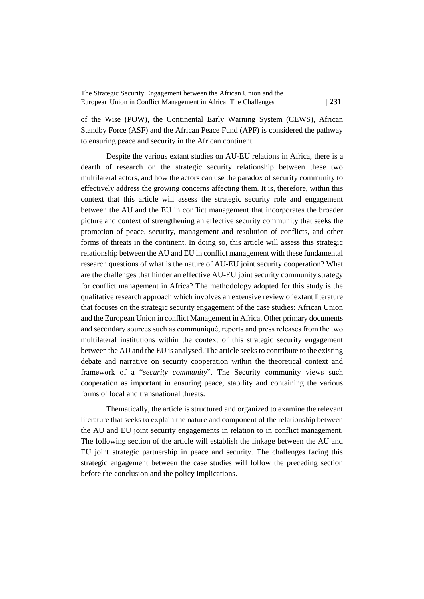of the Wise (POW), the Continental Early Warning System (CEWS), African Standby Force (ASF) and the African Peace Fund (APF) is considered the pathway to ensuring peace and security in the African continent.

Despite the various extant studies on AU-EU relations in Africa, there is a dearth of research on the strategic security relationship between these two multilateral actors, and how the actors can use the paradox of security community to effectively address the growing concerns affecting them. It is, therefore, within this context that this article will assess the strategic security role and engagement between the AU and the EU in conflict management that incorporates the broader picture and context of strengthening an effective security community that seeks the promotion of peace, security, management and resolution of conflicts, and other forms of threats in the continent. In doing so, this article will assess this strategic relationship between the AU and EU in conflict management with these fundamental research questions of what is the nature of AU-EU joint security cooperation? What are the challenges that hinder an effective AU-EU joint security community strategy for conflict management in Africa? The methodology adopted for this study is the qualitative research approach which involves an extensive review of extant literature that focuses on the strategic security engagement of the case studies: African Union and the European Union in conflict Management in Africa. Other primary documents and secondary sources such as communiqué, reports and press releases from the two multilateral institutions within the context of this strategic security engagement between the AU and the EU is analysed. The article seeks to contribute to the existing debate and narrative on security cooperation within the theoretical context and framework of a "*security community*". The Security community views such cooperation as important in ensuring peace, stability and containing the various forms of local and transnational threats.

Thematically, the article is structured and organized to examine the relevant literature that seeks to explain the nature and component of the relationship between the AU and EU joint security engagements in relation to in conflict management. The following section of the article will establish the linkage between the AU and EU joint strategic partnership in peace and security. The challenges facing this strategic engagement between the case studies will follow the preceding section before the conclusion and the policy implications.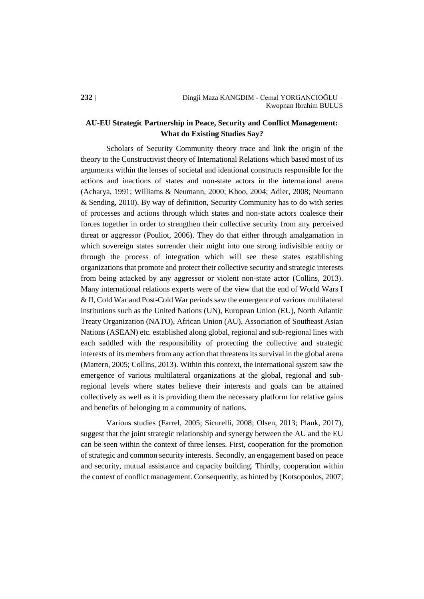## **AU-EU Strategic Partnership in Peace, Security and Conflict Management: What do Existing Studies Say?**

Scholars of Security Community theory trace and link the origin of the theory to the Constructivist theory of International Relations which based most of its arguments within the lenses of societal and ideational constructs responsible for the actions and inactions of states and non-state actors in the international arena (Acharya, 1991; Williams & Neumann, 2000; Khoo, 2004; Adler, 2008; Neumann & Sending, 2010). By way of definition, Security Community has to do with series of processes and actions through which states and non-state actors coalesce their forces together in order to strengthen their collective security from any perceived threat or aggressor (Pouliot, 2006). They do that either through amalgamation in which sovereign states surrender their might into one strong indivisible entity or through the process of integration which will see these states establishing organizations that promote and protect their collective security and strategic interests from being attacked by any aggressor or violent non-state actor (Collins, 2013). Many international relations experts were of the view that the end of World Wars I & II, Cold War and Post-Cold War periods saw the emergence of various multilateral institutions such as the United Nations (UN), European Union (EU), North Atlantic Treaty Organization (NATO), African Union (AU), Association of Southeast Asian Nations (ASEAN) etc. established along global, regional and sub-regional lines with each saddled with the responsibility of protecting the collective and strategic interests of its members from any action that threatens its survival in the global arena (Mattern, 2005; Collins, 2013). Within this context, the international system saw the emergence of various multilateral organizations at the global, regional and subregional levels where states believe their interests and goals can be attained collectively as well as it is providing them the necessary platform for relative gains and benefits of belonging to a community of nations.

Various studies (Farrel, 2005; Sicurelli, 2008; Olsen, 2013; Plank, 2017), suggest that the joint strategic relationship and synergy between the AU and the EU can be seen within the context of three lenses. First, cooperation for the promotion of strategic and common security interests. Secondly, an engagement based on peace and security, mutual assistance and capacity building. Thirdly, cooperation within the context of conflict management. Consequently, as hinted by (Kotsopoulos, 2007;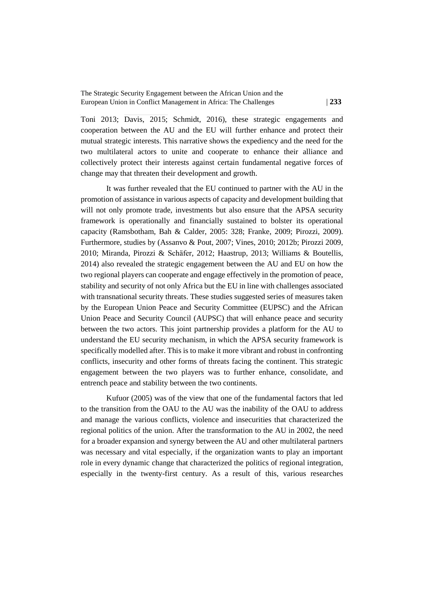Toni 2013; Davis, 2015; Schmidt, 2016), these strategic engagements and cooperation between the AU and the EU will further enhance and protect their mutual strategic interests. This narrative shows the expediency and the need for the two multilateral actors to unite and cooperate to enhance their alliance and collectively protect their interests against certain fundamental negative forces of change may that threaten their development and growth.

It was further revealed that the EU continued to partner with the AU in the promotion of assistance in various aspects of capacity and development building that will not only promote trade, investments but also ensure that the APSA security framework is operationally and financially sustained to bolster its operational capacity (Ramsbotham, Bah & Calder, 2005: 328; Franke, 2009; Pirozzi, 2009). Furthermore, studies by (Assanvo & Pout, 2007; Vines, 2010; 2012b; Pirozzi 2009, 2010; Miranda, Pirozzi & Schäfer, 2012; Haastrup, 2013; Williams & Boutellis, 2014) also revealed the strategic engagement between the AU and EU on how the two regional players can cooperate and engage effectively in the promotion of peace, stability and security of not only Africa but the EU in line with challenges associated with transnational security threats. These studies suggested series of measures taken by the European Union Peace and Security Committee (EUPSC) and the African Union Peace and Security Council (AUPSC) that will enhance peace and security between the two actors. This joint partnership provides a platform for the AU to understand the EU security mechanism, in which the APSA security framework is specifically modelled after. This is to make it more vibrant and robust in confronting conflicts, insecurity and other forms of threats facing the continent. This strategic engagement between the two players was to further enhance, consolidate, and entrench peace and stability between the two continents.

Kufuor (2005) was of the view that one of the fundamental factors that led to the transition from the OAU to the AU was the inability of the OAU to address and manage the various conflicts, violence and insecurities that characterized the regional politics of the union. After the transformation to the AU in 2002, the need for a broader expansion and synergy between the AU and other multilateral partners was necessary and vital especially, if the organization wants to play an important role in every dynamic change that characterized the politics of regional integration, especially in the twenty-first century. As a result of this, various researches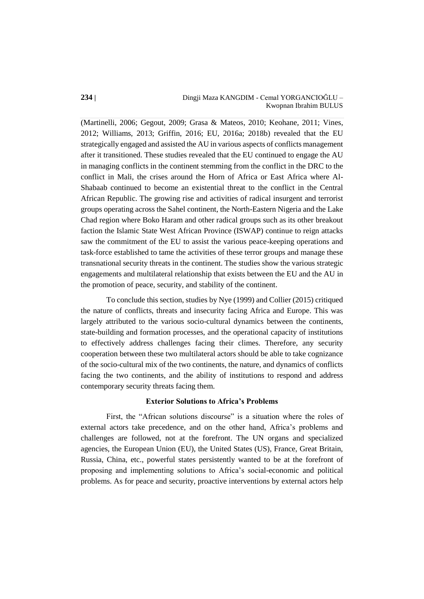(Martinelli, 2006; Gegout, 2009; Grasa & Mateos, 2010; Keohane, 2011; Vines, 2012; Williams, 2013; Griffin, 2016; EU, 2016a; 2018b) revealed that the EU strategically engaged and assisted the AU in various aspects of conflicts management after it transitioned. These studies revealed that the EU continued to engage the AU in managing conflicts in the continent stemming from the conflict in the DRC to the conflict in Mali, the crises around the Horn of Africa or East Africa where Al-Shabaab continued to become an existential threat to the conflict in the Central African Republic. The growing rise and activities of radical insurgent and terrorist groups operating across the Sahel continent, the North-Eastern Nigeria and the Lake Chad region where Boko Haram and other radical groups such as its other breakout faction the Islamic State West African Province (ISWAP) continue to reign attacks saw the commitment of the EU to assist the various peace-keeping operations and task-force established to tame the activities of these terror groups and manage these transnational security threats in the continent. The studies show the various strategic engagements and multilateral relationship that exists between the EU and the AU in the promotion of peace, security, and stability of the continent.

To conclude this section, studies by Nye (1999) and Collier (2015) critiqued the nature of conflicts, threats and insecurity facing Africa and Europe. This was largely attributed to the various socio-cultural dynamics between the continents, state-building and formation processes, and the operational capacity of institutions to effectively address challenges facing their climes. Therefore, any security cooperation between these two multilateral actors should be able to take cognizance of the socio-cultural mix of the two continents, the nature, and dynamics of conflicts facing the two continents, and the ability of institutions to respond and address contemporary security threats facing them.

## **Exterior Solutions to Africa's Problems**

First, the "African solutions discourse" is a situation where the roles of external actors take precedence, and on the other hand, Africa's problems and challenges are followed, not at the forefront. The UN organs and specialized agencies, the European Union (EU), the United States (US), France, Great Britain, Russia, China, etc., powerful states persistently wanted to be at the forefront of proposing and implementing solutions to Africa's social-economic and political problems. As for peace and security, proactive interventions by external actors help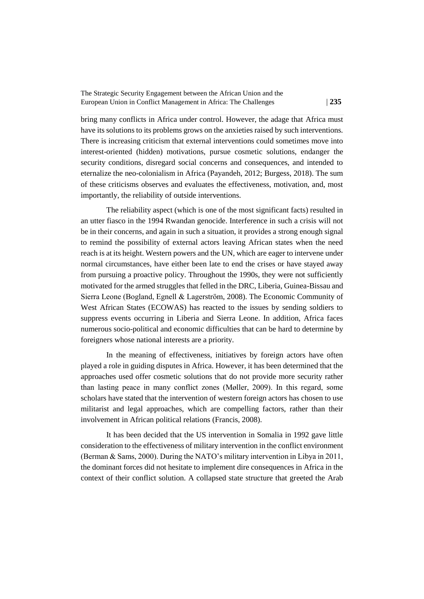bring many conflicts in Africa under control. However, the adage that Africa must have its solutions to its problems grows on the anxieties raised by such interventions. There is increasing criticism that external interventions could sometimes move into interest-oriented (hidden) motivations, pursue cosmetic solutions, endanger the security conditions, disregard social concerns and consequences, and intended to eternalize the neo-colonialism in Africa (Payandeh, 2012; Burgess, 2018). The sum of these criticisms observes and evaluates the effectiveness, motivation, and, most importantly, the reliability of outside interventions.

The reliability aspect (which is one of the most significant facts) resulted in an utter fiasco in the 1994 Rwandan genocide. Interference in such a crisis will not be in their concerns, and again in such a situation, it provides a strong enough signal to remind the possibility of external actors leaving African states when the need reach is at its height. Western powers and the UN, which are eager to intervene under normal circumstances, have either been late to end the crises or have stayed away from pursuing a proactive policy. Throughout the 1990s, they were not sufficiently motivated for the armed struggles that felled in the DRC, Liberia, Guinea-Bissau and Sierra Leone (Bogland, Egnell & Lagerström, 2008). The Economic Community of West African States (ECOWAS) has reacted to the issues by sending soldiers to suppress events occurring in Liberia and Sierra Leone. In addition, Africa faces numerous socio-political and economic difficulties that can be hard to determine by foreigners whose national interests are a priority.

In the meaning of effectiveness, initiatives by foreign actors have often played a role in guiding disputes in Africa. However, it has been determined that the approaches used offer cosmetic solutions that do not provide more security rather than lasting peace in many conflict zones (Møller, 2009). In this regard, some scholars have stated that the intervention of western foreign actors has chosen to use militarist and legal approaches, which are compelling factors, rather than their involvement in African political relations (Francis, 2008).

It has been decided that the US intervention in Somalia in 1992 gave little consideration to the effectiveness of military intervention in the conflict environment (Berman & Sams, 2000). During the NATO's military intervention in Libya in 2011, the dominant forces did not hesitate to implement dire consequences in Africa in the context of their conflict solution. A collapsed state structure that greeted the Arab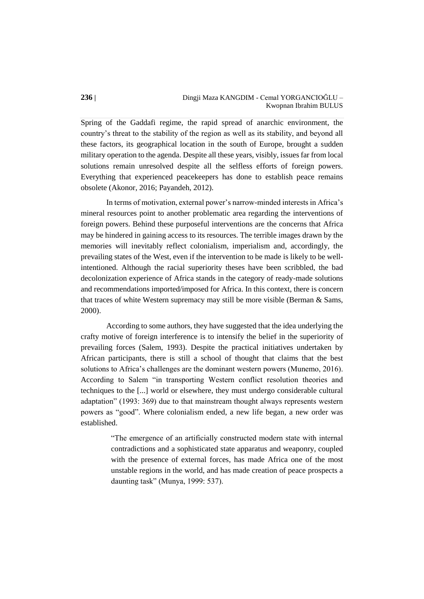Spring of the Gaddafi regime, the rapid spread of anarchic environment, the country's threat to the stability of the region as well as its stability, and beyond all these factors, its geographical location in the south of Europe, brought a sudden military operation to the agenda. Despite all these years, visibly, issues far from local solutions remain unresolved despite all the selfless efforts of foreign powers. Everything that experienced peacekeepers has done to establish peace remains obsolete (Akonor, 2016; Payandeh, 2012).

In terms of motivation, external power's narrow-minded interests in Africa's mineral resources point to another problematic area regarding the interventions of foreign powers. Behind these purposeful interventions are the concerns that Africa may be hindered in gaining access to its resources. The terrible images drawn by the memories will inevitably reflect colonialism, imperialism and, accordingly, the prevailing states of the West, even if the intervention to be made is likely to be wellintentioned. Although the racial superiority theses have been scribbled, the bad decolonization experience of Africa stands in the category of ready-made solutions and recommendations imported/imposed for Africa. In this context, there is concern that traces of white Western supremacy may still be more visible (Berman & Sams, 2000).

According to some authors, they have suggested that the idea underlying the crafty motive of foreign interference is to intensify the belief in the superiority of prevailing forces (Salem, 1993). Despite the practical initiatives undertaken by African participants, there is still a school of thought that claims that the best solutions to Africa's challenges are the dominant western powers (Munemo, 2016). According to Salem "in transporting Western conflict resolution theories and techniques to the [...] world or elsewhere, they must undergo considerable cultural adaptation" (1993: 369) due to that mainstream thought always represents western powers as "good". Where colonialism ended, a new life began, a new order was established.

> "The emergence of an artificially constructed modern state with internal contradictions and a sophisticated state apparatus and weaponry, coupled with the presence of external forces, has made Africa one of the most unstable regions in the world, and has made creation of peace prospects a daunting task" (Munya, 1999: 537).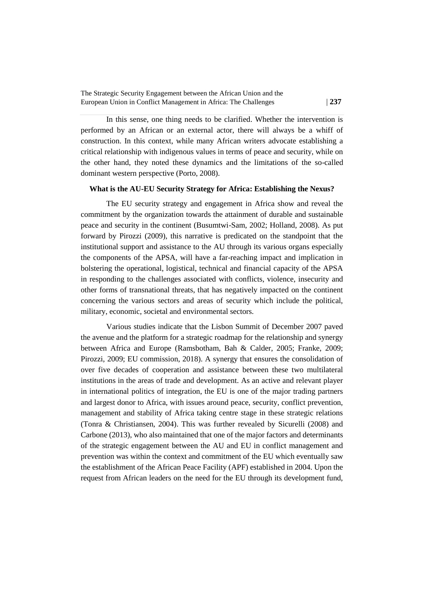In this sense, one thing needs to be clarified. Whether the intervention is performed by an African or an external actor, there will always be a whiff of construction. In this context, while many African writers advocate establishing a critical relationship with indigenous values in terms of peace and security, while on the other hand, they noted these dynamics and the limitations of the so-called dominant western perspective (Porto, 2008).

### **What is the AU-EU Security Strategy for Africa: Establishing the Nexus?**

The EU security strategy and engagement in Africa show and reveal the commitment by the organization towards the attainment of durable and sustainable peace and security in the continent (Busumtwi-Sam, 2002; Holland, 2008). As put forward by Pirozzi (2009), this narrative is predicated on the standpoint that the institutional support and assistance to the AU through its various organs especially the components of the APSA, will have a far-reaching impact and implication in bolstering the operational, logistical, technical and financial capacity of the APSA in responding to the challenges associated with conflicts, violence, insecurity and other forms of transnational threats, that has negatively impacted on the continent concerning the various sectors and areas of security which include the political, military, economic, societal and environmental sectors.

Various studies indicate that the Lisbon Summit of December 2007 paved the avenue and the platform for a strategic roadmap for the relationship and synergy between Africa and Europe (Ramsbotham, Bah & Calder, 2005; Franke, 2009; Pirozzi, 2009; EU commission, 2018). A synergy that ensures the consolidation of over five decades of cooperation and assistance between these two multilateral institutions in the areas of trade and development. As an active and relevant player in international politics of integration, the EU is one of the major trading partners and largest donor to Africa, with issues around peace, security, conflict prevention, management and stability of Africa taking centre stage in these strategic relations (Tonra & Christiansen, 2004). This was further revealed by Sicurelli (2008) and Carbone (2013), who also maintained that one of the major factors and determinants of the strategic engagement between the AU and EU in conflict management and prevention was within the context and commitment of the EU which eventually saw the establishment of the African Peace Facility (APF) established in 2004. Upon the request from African leaders on the need for the EU through its development fund,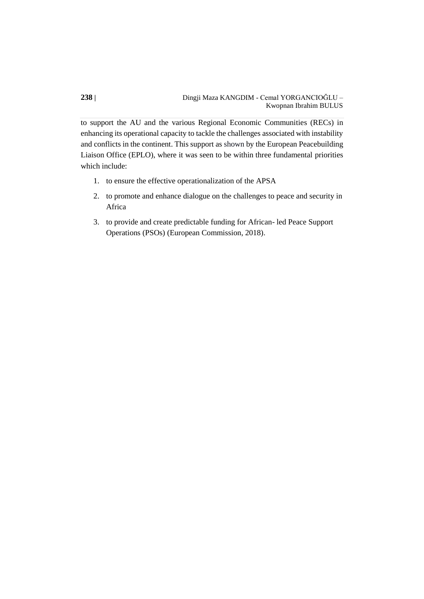to support the AU and the various Regional Economic Communities (RECs) in enhancing its operational capacity to tackle the challenges associated with instability and conflicts in the continent. This support as shown by the European Peacebuilding Liaison Office (EPLO), where it was seen to be within three fundamental priorities which include:

- 1. to ensure the effective operationalization of the APSA
- 2. to promote and enhance dialogue on the challenges to peace and security in Africa
- 3. to provide and create predictable funding for African- led Peace Support Operations (PSOs) (European Commission, 2018).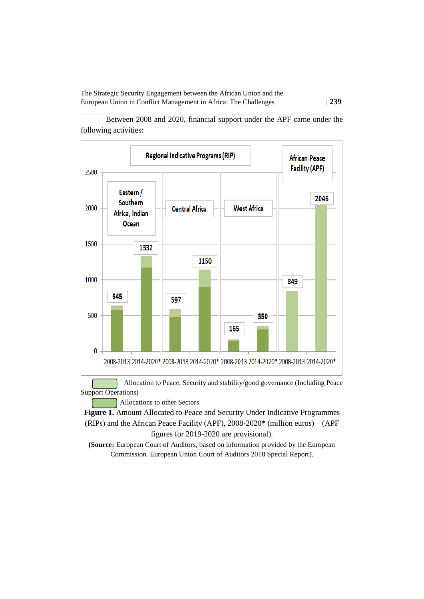Between 2008 and 2020, financial support under the APF came under the following activities:



Support Operations)

Allocations to other Sectors

Figure 1. Amount Allocated to Peace and Security Under Indicative Programmes (RIPs) and the African Peace Facility (APF), 2008-2020\* (million euros) – (APF figures for 2019-2020 are provisional).

**(Source:** European Court of Auditors, based on information provided by the European Commission. European Union Court of Auditors 2018 Special Report).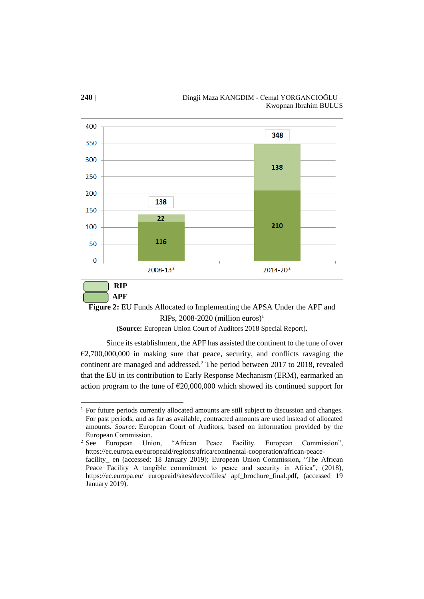



**(Source:** European Union Court of Auditors 2018 Special Report).

Since its establishment, the APF has assisted the continent to the tune of over  $E2,700,000,000$  in making sure that peace, security, and conflicts ravaging the continent are managed and addressed.<sup>2</sup> The period between 2017 to 2018, revealed that the EU in its contribution to Early Response Mechanism (ERM), earmarked an action program to the tune of  $\epsilon$ 20,000,000 which showed its continued support for

 $\overline{a}$ 

January 2019).

<sup>&</sup>lt;sup>1</sup> For future periods currently allocated amounts are still subject to discussion and changes. For past periods, and as far as available, contracted amounts are used instead of allocated amounts. *Source:* European Court of Auditors, based on information provided by the European Commission.<br><sup>2</sup> See European Uni

European Union, "African Peace Facility. European Commission", https://ec.europa.eu/europeaid/regions/africa/continental-cooperation/african-peacefacility\_ en (accessed: 18 January 2019); European Union Commission, "The African Peace Facility A tangible commitment to peace and security in Africa", (2018), https://ec.europa.eu/ europeaid/sites/devco/files/ apf\_brochure\_final.pdf, (accessed 19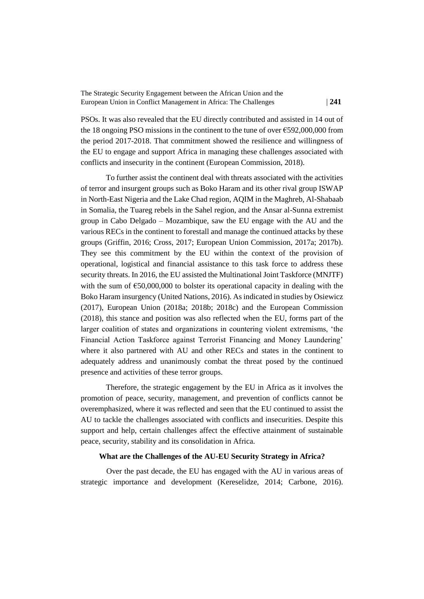PSOs. It was also revealed that the EU directly contributed and assisted in 14 out of the 18 ongoing PSO missions in the continent to the tune of over  $\epsilon$ 592,000,000 from the period 2017-2018. That commitment showed the resilience and willingness of the EU to engage and support Africa in managing these challenges associated with conflicts and insecurity in the continent (European Commission, 2018).

To further assist the continent deal with threats associated with the activities of terror and insurgent groups such as Boko Haram and its other rival group ISWAP in North-East Nigeria and the Lake Chad region, AQIM in the Maghreb, Al-Shabaab in Somalia, the Tuareg rebels in the Sahel region, and the Ansar al-Sunna extremist group in Cabo Delgado – Mozambique, saw the EU engage with the AU and the various RECs in the continent to forestall and manage the continued attacks by these groups (Griffin, 2016; Cross, 2017; European Union Commission, 2017a; 2017b). They see this commitment by the EU within the context of the provision of operational, logistical and financial assistance to this task force to address these security threats. In 2016, the EU assisted the Multinational Joint Taskforce (MNJTF) with the sum of  $\epsilon$ 50,000,000 to bolster its operational capacity in dealing with the Boko Haram insurgency (United Nations, 2016). As indicated in studies by Osiewicz (2017), European Union (2018a; 2018b; 2018c) and the European Commission (2018), this stance and position was also reflected when the EU, forms part of the larger coalition of states and organizations in countering violent extremisms, 'the Financial Action Taskforce against Terrorist Financing and Money Laundering' where it also partnered with AU and other RECs and states in the continent to adequately address and unanimously combat the threat posed by the continued presence and activities of these terror groups.

Therefore, the strategic engagement by the EU in Africa as it involves the promotion of peace, security, management, and prevention of conflicts cannot be overemphasized, where it was reflected and seen that the EU continued to assist the AU to tackle the challenges associated with conflicts and insecurities. Despite this support and help, certain challenges affect the effective attainment of sustainable peace, security, stability and its consolidation in Africa.

## **What are the Challenges of the AU-EU Security Strategy in Africa?**

Over the past decade, the EU has engaged with the AU in various areas of strategic importance and development (Kereselidze, 2014; Carbone, 2016).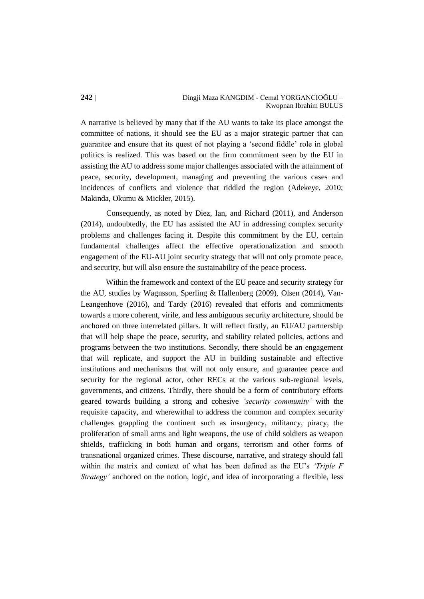A narrative is believed by many that if the AU wants to take its place amongst the committee of nations, it should see the EU as a major strategic partner that can guarantee and ensure that its quest of not playing a 'second fiddle' role in global politics is realized. This was based on the firm commitment seen by the EU in assisting the AU to address some major challenges associated with the attainment of peace, security, development, managing and preventing the various cases and incidences of conflicts and violence that riddled the region (Adekeye, 2010; Makinda, Okumu & Mickler, 2015).

Consequently, as noted by Diez, Ian, and Richard (2011), and Anderson (2014), undoubtedly, the EU has assisted the AU in addressing complex security problems and challenges facing it. Despite this commitment by the EU, certain fundamental challenges affect the effective operationalization and smooth engagement of the EU-AU joint security strategy that will not only promote peace, and security, but will also ensure the sustainability of the peace process.

Within the framework and context of the EU peace and security strategy for the AU, studies by Wagnsson, Sperling & Hallenberg (2009), Olsen (2014), Van-Leangenhove (2016), and Tardy (2016) revealed that efforts and commitments towards a more coherent, virile, and less ambiguous security architecture, should be anchored on three interrelated pillars. It will reflect firstly, an EU/AU partnership that will help shape the peace, security, and stability related policies, actions and programs between the two institutions. Secondly, there should be an engagement that will replicate, and support the AU in building sustainable and effective institutions and mechanisms that will not only ensure, and guarantee peace and security for the regional actor, other RECs at the various sub-regional levels, governments, and citizens. Thirdly, there should be a form of contributory efforts geared towards building a strong and cohesive *'security community'* with the requisite capacity, and wherewithal to address the common and complex security challenges grappling the continent such as insurgency, militancy, piracy, the proliferation of small arms and light weapons, the use of child soldiers as weapon shields, trafficking in both human and organs, terrorism and other forms of transnational organized crimes. These discourse, narrative, and strategy should fall within the matrix and context of what has been defined as the EU's *'Triple F Strategy'* anchored on the notion, logic, and idea of incorporating a flexible, less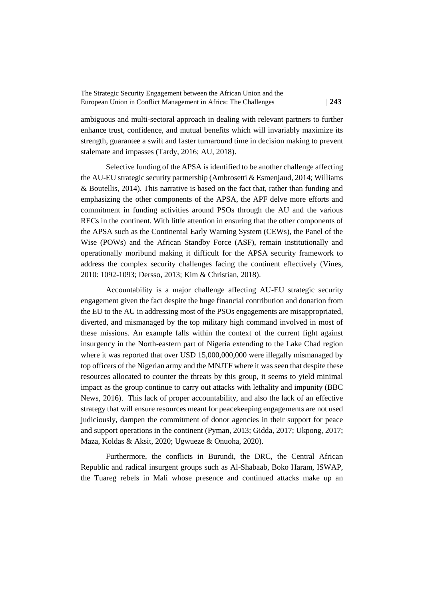ambiguous and multi-sectoral approach in dealing with relevant partners to further enhance trust, confidence, and mutual benefits which will invariably maximize its strength, guarantee a swift and faster turnaround time in decision making to prevent stalemate and impasses (Tardy, 2016; AU, 2018).

Selective funding of the APSA is identified to be another challenge affecting the AU-EU strategic security partnership (Ambrosetti & Esmenjaud, 2014; Williams & Boutellis, 2014). This narrative is based on the fact that, rather than funding and emphasizing the other components of the APSA, the APF delve more efforts and commitment in funding activities around PSOs through the AU and the various RECs in the continent. With little attention in ensuring that the other components of the APSA such as the Continental Early Warning System (CEWs), the Panel of the Wise (POWs) and the African Standby Force (ASF), remain institutionally and operationally moribund making it difficult for the APSA security framework to address the complex security challenges facing the continent effectively (Vines, 2010: 1092-1093; Dersso, 2013; Kim & Christian, 2018).

Accountability is a major challenge affecting AU-EU strategic security engagement given the fact despite the huge financial contribution and donation from the EU to the AU in addressing most of the PSOs engagements are misappropriated, diverted, and mismanaged by the top military high command involved in most of these missions. An example falls within the context of the current fight against insurgency in the North-eastern part of Nigeria extending to the Lake Chad region where it was reported that over USD 15,000,000,000 were illegally mismanaged by top officers of the Nigerian army and the MNJTF where it was seen that despite these resources allocated to counter the threats by this group, it seems to yield minimal impact as the group continue to carry out attacks with lethality and impunity (BBC News, 2016). This lack of proper accountability, and also the lack of an effective strategy that will ensure resources meant for peacekeeping engagements are not used judiciously, dampen the commitment of donor agencies in their support for peace and support operations in the continent (Pyman, 2013; Gidda, 2017; Ukpong, 2017; Maza, Koldas & Aksit, 2020; Ugwueze & Onuoha, 2020).

Furthermore, the conflicts in Burundi, the DRC, the Central African Republic and radical insurgent groups such as Al-Shabaab, Boko Haram, ISWAP, the Tuareg rebels in Mali whose presence and continued attacks make up an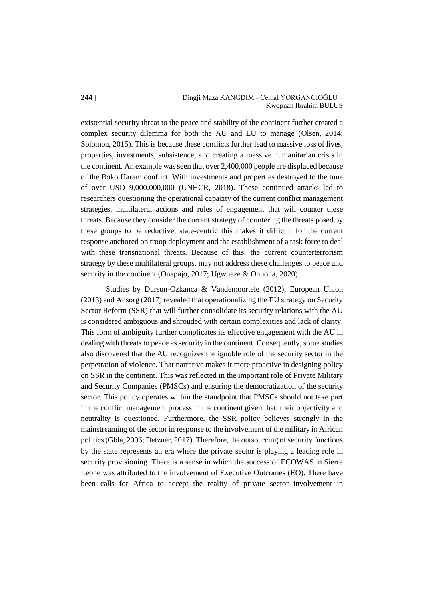existential security threat to the peace and stability of the continent further created a complex security dilemma for both the AU and EU to manage (Olsen, 2014; Solomon, 2015). This is because these conflicts further lead to massive loss of lives, properties, investments, subsistence, and creating a massive humanitarian crisis in the continent. An example was seen that over 2,400,000 people are displaced because of the Boko Haram conflict. With investments and properties destroyed to the tune of over USD 9,000,000,000 (UNHCR, 2018). These continued attacks led to researchers questioning the operational capacity of the current conflict management strategies, multilateral actions and rules of engagement that will counter these threats. Because they consider the current strategy of countering the threats posed by these groups to be reductive, state-centric this makes it difficult for the current response anchored on troop deployment and the establishment of a task force to deal with these transnational threats. Because of this, the current counterterrorism strategy by these multilateral groups, may not address these challenges to peace and security in the continent (Onapajo, 2017; Ugwueze & Onuoha, 2020).

Studies by Dursun-Ozkanca & Vandemoortele (2012), European Union (2013) and Ansorg (2017) revealed that operationalizing the EU strategy on Security Sector Reform (SSR) that will further consolidate its security relations with the AU is considered ambiguous and shrouded with certain complexities and lack of clarity. This form of ambiguity further complicates its effective engagement with the AU in dealing with threats to peace as security in the continent. Consequently, some studies also discovered that the AU recognizes the ignoble role of the security sector in the perpetration of violence. That narrative makes it more proactive in designing policy on SSR in the continent. This was reflected in the important role of Private Military and Security Companies (PMSCs) and ensuring the democratization of the security sector. This policy operates within the standpoint that PMSCs should not take part in the conflict management process in the continent given that, their objectivity and neutrality is questioned. Furthermore, the SSR policy believes strongly in the mainstreaming of the sector in response to the involvement of the military in African politics (Gbla, 2006; Detzner, 2017). Therefore, the outsourcing of security functions by the state represents an era where the private sector is playing a leading role in security provisioning. There is a sense in which the success of ECOWAS in Sierra Leone was attributed to the involvement of Executive Outcomes (EO). There have been calls for Africa to accept the reality of private sector involvement in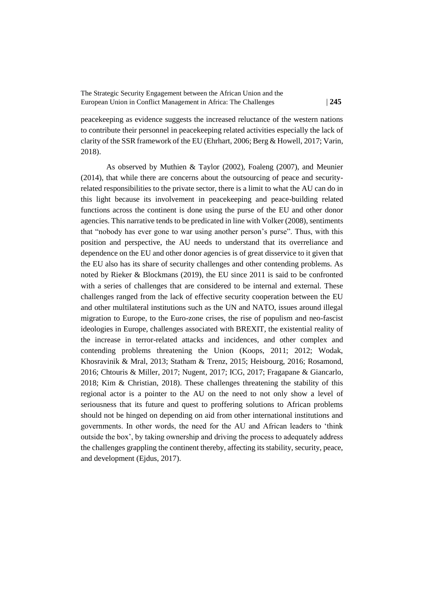peacekeeping as evidence suggests the increased reluctance of the western nations to contribute their personnel in peacekeeping related activities especially the lack of clarity of the SSR framework of the EU (Ehrhart, 2006; Berg & Howell, 2017; Varin, 2018).

As observed by Muthien & Taylor (2002), Foaleng (2007), and Meunier (2014), that while there are concerns about the outsourcing of peace and securityrelated responsibilities to the private sector, there is a limit to what the AU can do in this light because its involvement in peacekeeping and peace-building related functions across the continent is done using the purse of the EU and other donor agencies. This narrative tends to be predicated in line with Volker (2008), sentiments that "nobody has ever gone to war using another person's purse". Thus, with this position and perspective, the AU needs to understand that its overreliance and dependence on the EU and other donor agencies is of great disservice to it given that the EU also has its share of security challenges and other contending problems. As noted by Rieker & Blockmans (2019), the EU since 2011 is said to be confronted with a series of challenges that are considered to be internal and external. These challenges ranged from the lack of effective security cooperation between the EU and other multilateral institutions such as the UN and NATO, issues around illegal migration to Europe, to the Euro-zone crises, the rise of populism and neo-fascist ideologies in Europe, challenges associated with BREXIT, the existential reality of the increase in terror-related attacks and incidences, and other complex and contending problems threatening the Union (Koops, 2011; 2012; Wodak, Khosravinik & Mral, 2013; Statham & Trenz, 2015; Heisbourg, 2016; Rosamond, 2016; Chtouris & Miller, 2017; Nugent, 2017; ICG, 2017; Fragapane & Giancarlo, 2018; Kim & Christian, 2018). These challenges threatening the stability of this regional actor is a pointer to the AU on the need to not only show a level of seriousness that its future and quest to proffering solutions to African problems should not be hinged on depending on aid from other international institutions and governments. In other words, the need for the AU and African leaders to 'think outside the box', by taking ownership and driving the process to adequately address the challenges grappling the continent thereby, affecting its stability, security, peace, and development (Ejdus, 2017).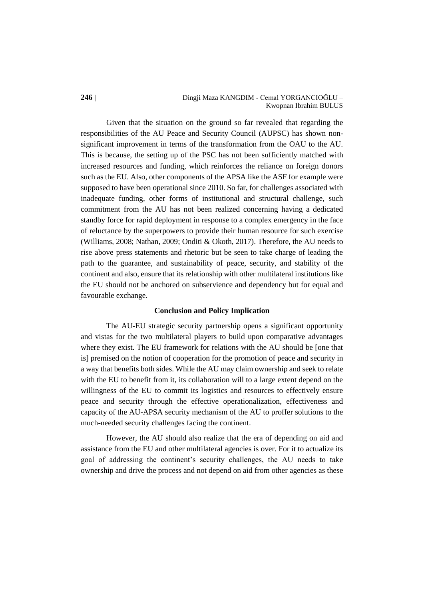#### **246 |** Dingji Maza KANGDIM - Cemal YORGANCIOĞLU – Kwopnan Ibrahim BULUS

Given that the situation on the ground so far revealed that regarding the responsibilities of the AU Peace and Security Council (AUPSC) has shown nonsignificant improvement in terms of the transformation from the OAU to the AU. This is because, the setting up of the PSC has not been sufficiently matched with increased resources and funding, which reinforces the reliance on foreign donors such as the EU. Also, other components of the APSA like the ASF for example were supposed to have been operational since 2010. So far, for challenges associated with inadequate funding, other forms of institutional and structural challenge, such commitment from the AU has not been realized concerning having a dedicated standby force for rapid deployment in response to a complex emergency in the face of reluctance by the superpowers to provide their human resource for such exercise (Williams, 2008; Nathan, 2009; Onditi & Okoth, 2017). Therefore, the AU needs to rise above press statements and rhetoric but be seen to take charge of leading the path to the guarantee, and sustainability of peace, security, and stability of the continent and also, ensure that its relationship with other multilateral institutions like the EU should not be anchored on subservience and dependency but for equal and favourable exchange.

#### **Conclusion and Policy Implication**

The AU-EU strategic security partnership opens a significant opportunity and vistas for the two multilateral players to build upon comparative advantages where they exist. The EU framework for relations with the AU should be [one that is] premised on the notion of cooperation for the promotion of peace and security in a way that benefits both sides. While the AU may claim ownership and seek to relate with the EU to benefit from it, its collaboration will to a large extent depend on the willingness of the EU to commit its logistics and resources to effectively ensure peace and security through the effective operationalization, effectiveness and capacity of the AU-APSA security mechanism of the AU to proffer solutions to the much-needed security challenges facing the continent.

However, the AU should also realize that the era of depending on aid and assistance from the EU and other multilateral agencies is over. For it to actualize its goal of addressing the continent's security challenges, the AU needs to take ownership and drive the process and not depend on aid from other agencies as these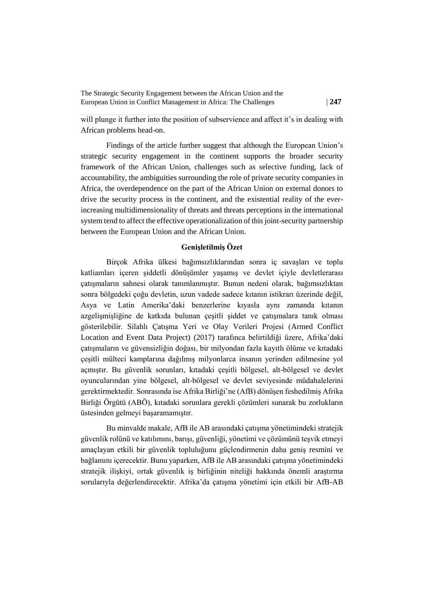will plunge it further into the position of subservience and affect it's in dealing with African problems head-on.

Findings of the article further suggest that although the European Union's strategic security engagement in the continent supports the broader security framework of the African Union, challenges such as selective funding, lack of accountability, the ambiguities surrounding the role of private security companies in Africa, the overdependence on the part of the African Union on external donors to drive the security process in the continent, and the existential reality of the everincreasing multidimensionality of threats and threats perceptions in the international system tend to affect the effective operationalization of this joint-security partnership between the European Union and the African Union.

## **Genişletilmiş Özet**

Birçok Afrika ülkesi bağımsızlıklarından sonra iç savaşları ve toplu katliamları içeren şiddetli dönüşümler yaşamış ve devlet içiyle devletlerarası çatışmaların sahnesi olarak tanımlanmıştır. Bunun nedeni olarak, bağımsızlıktan sonra bölgedeki çoğu devletin, uzun vadede sadece kıtanın istikrarı üzerinde değil, Asya ve Latin Amerika'daki benzerlerine kıyasla aynı zamanda kıtanın azgelişmişliğine de katkıda bulunan çeşitli şiddet ve çatışmalara tanık olması gösterilebilir. Silahlı Çatışma Yeri ve Olay Verileri Projesi (Armed Conflict Location and Event Data Project) (2017) tarafınca belirtildiği üzere, Afrika'daki çatışmaların ve güvensizliğin doğası, bir milyondan fazla kayıtlı ölüme ve kıtadaki çeşitli mülteci kamplarına dağılmış milyonlarca insanın yerinden edilmesine yol açmıştır. Bu güvenlik sorunları, kıtadaki çeşitli bölgesel, alt-bölgesel ve devlet oyuncularından yine bölgesel, alt-bölgesel ve devlet seviyesinde müdahalelerini gerektirmektedir. Sonrasında ise Afrika Birliği'ne (AfB) dönüşen feshedilmiş Afrika Birliği Örgütü (ABÖ), kıtadaki sorunlara gerekli çözümleri sunarak bu zorlukların üstesinden gelmeyi başaramamıştır.

Bu minvalde makale, AfB ile AB arasındaki çatışma yönetimindeki stratejik güvenlik rolünü ve katılımını, barışı, güvenliği, yönetimi ve çözümünü teşvik etmeyi amaçlayan etkili bir güvenlik topluluğunu güçlendirmenin daha geniş resmini ve bağlamını içerecektir. Bunu yaparken, AfB ile AB arasındaki çatışma yönetimindeki stratejik ilişkiyi, ortak güvenlik iş birliğinin niteliği hakkında önemli araştırma sorularıyla değerlendirecektir. Afrika'da çatışma yönetimi için etkili bir AfB-AB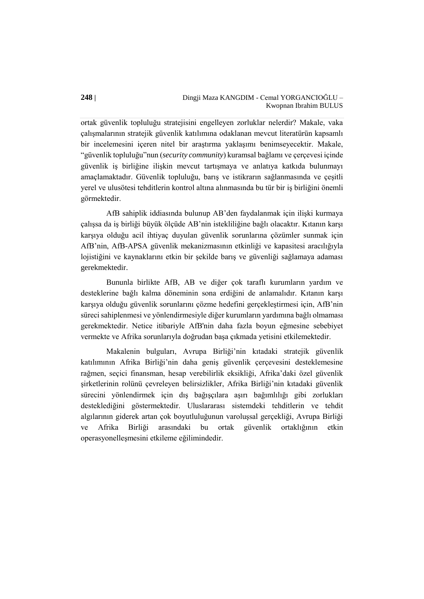ortak güvenlik topluluğu stratejisini engelleyen zorluklar nelerdir? Makale, vaka çalışmalarının stratejik güvenlik katılımına odaklanan mevcut literatürün kapsamlı bir incelemesini içeren nitel bir araştırma yaklaşımı benimseyecektir. Makale, "güvenlik topluluğu"nun (*security community*) kuramsal bağlamı ve çerçevesi içinde güvenlik iş birliğine ilişkin mevcut tartışmaya ve anlatıya katkıda bulunmayı amaçlamaktadır. Güvenlik topluluğu, barış ve istikrarın sağlanmasında ve çeşitli yerel ve ulusötesi tehditlerin kontrol altına alınmasında bu tür bir iş birliğini önemli görmektedir.

AfB sahiplik iddiasında bulunup AB'den faydalanmak için ilişki kurmaya çalışsa da iş birliği büyük ölçüde AB'nin istekliliğine bağlı olacaktır. Kıtanın karşı karşıya olduğu acil ihtiyaç duyulan güvenlik sorunlarına çözümler sunmak için AfB'nin, AfB-APSA güvenlik mekanizmasının etkinliği ve kapasitesi aracılığıyla lojistiğini ve kaynaklarını etkin bir şekilde barış ve güvenliği sağlamaya adaması gerekmektedir.

Bununla birlikte AfB, AB ve diğer çok taraflı kurumların yardım ve desteklerine bağlı kalma döneminin sona erdiğini de anlamalıdır. Kıtanın karşı karşıya olduğu güvenlik sorunlarını çözme hedefini gerçekleştirmesi için, AfB'nin süreci sahiplenmesi ve yönlendirmesiyle diğer kurumların yardımına bağlı olmaması gerekmektedir. Netice itibariyle AfB'nin daha fazla boyun eğmesine sebebiyet vermekte ve Afrika sorunlarıyla doğrudan başa çıkmada yetisini etkilemektedir.

Makalenin bulguları, Avrupa Birliği'nin kıtadaki stratejik güvenlik katılımının Afrika Birliği'nin daha geniş güvenlik çerçevesini desteklemesine rağmen, seçici finansman, hesap verebilirlik eksikliği, Afrika'daki özel güvenlik şirketlerinin rolünü çevreleyen belirsizlikler, Afrika Birliği'nin kıtadaki güvenlik sürecini yönlendirmek için dış bağışçılara aşırı bağımlılığı gibi zorlukları desteklediğini göstermektedir. Uluslararası sistemdeki tehditlerin ve tehdit algılarının giderek artan çok boyutluluğunun varoluşsal gerçekliği, Avrupa Birliği ve Afrika Birliği arasındaki bu ortak güvenlik ortaklığının etkin operasyonelleşmesini etkileme eğilimindedir.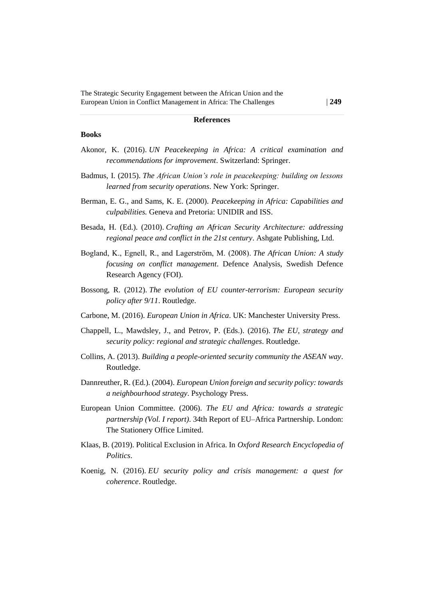#### **References**

#### **Books**

- Akonor, K. (2016). *UN Peacekeeping in Africa: A critical examination and recommendations for improvement*. Switzerland: Springer.
- Badmus, I. (2015). *The African Union's role in peacekeeping: building on lessons learned from security operations*. New York: Springer.
- Berman, E. G., and Sams, K. E. (2000). *Peacekeeping in Africa: Capabilities and culpabilities.* Geneva and Pretoria: UNIDIR and ISS.
- Besada, H. (Ed.). (2010). *Crafting an African Security Architecture: addressing regional peace and conflict in the 21st century*. Ashgate Publishing, Ltd.
- Bogland, K., Egnell, R., and Lagerström, M. (2008). *The African Union: A study focusing on conflict management*. Defence Analysis, Swedish Defence Research Agency (FOI).
- Bossong, R. (2012). *The evolution of EU counter-terrorism: European security policy after 9/11*. Routledge.
- Carbone, M. (2016). *European Union in Africa*. UK: Manchester University Press.
- Chappell, L., Mawdsley, J., and Petrov, P. (Eds.). (2016). *The EU, strategy and security policy: regional and strategic challenges*. Routledge.
- Collins, A. (2013). *Building a people-oriented security community the ASEAN way*. Routledge.
- Dannreuther, R. (Ed.). (2004). *European Union foreign and security policy: towards a neighbourhood strategy*. Psychology Press.
- European Union Committee. (2006). *The EU and Africa: towards a strategic partnership (Vol. I report)*. 34th Report of EU–Africa Partnership. London: The Stationery Office Limited.
- Klaas, B. (2019). Political Exclusion in Africa. In *Oxford Research Encyclopedia of Politics*.
- Koenig, N. (2016). *EU security policy and crisis management: a quest for coherence*. Routledge.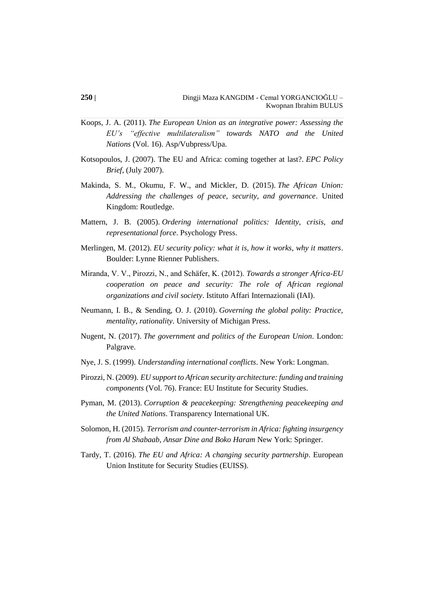- Koops, J. A. (2011). *The European Union as an integrative power: Assessing the EU's "effective multilateralism" towards NATO and the United Nations* (Vol. 16). Asp/Vubpress/Upa.
- Kotsopoulos, J. (2007). The EU and Africa: coming together at last?. *EPC Policy Brief*, (July 2007).
- Makinda, S. M., Okumu, F. W., and Mickler, D. (2015). *The African Union: Addressing the challenges of peace, security, and governance*. United Kingdom: Routledge.
- Mattern, J. B. (2005). *Ordering international politics: Identity, crisis, and representational force*. Psychology Press.
- Merlingen, M. (2012). *EU security policy: what it is, how it works, why it matters*. Boulder: Lynne Rienner Publishers.
- Miranda, V. V., Pirozzi, N., and Schäfer, K. (2012). *Towards a stronger Africa-EU cooperation on peace and security: The role of African regional organizations and civil society*. Istituto Affari Internazionali (IAI).
- Neumann, I. B., & Sending, O. J. (2010). *Governing the global polity: Practice, mentality, rationality*. University of Michigan Press.
- Nugent, N. (2017). *The government and politics of the European Union*. London: Palgrave.
- Nye, J. S. (1999). *Understanding international conflicts*. New York: Longman.
- Pirozzi, N. (2009). *EU support to African security architecture: funding and training components* (Vol. 76). France: EU Institute for Security Studies.
- Pyman, M. (2013). *Corruption & peacekeeping: Strengthening peacekeeping and the United Nations*. Transparency International UK.
- Solomon, H. (2015). *Terrorism and counter-terrorism in Africa: fighting insurgency from Al Shabaab, Ansar Dine and Boko Haram* New York: Springer.
- Tardy, T. (2016). *The EU and Africa: A changing security partnership*. European Union Institute for Security Studies (EUISS).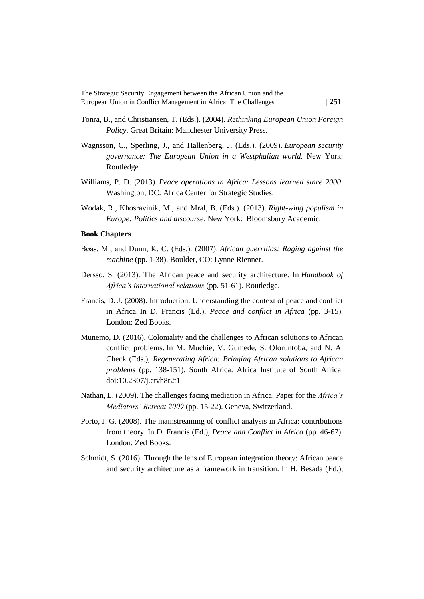- Tonra, B., and Christiansen, T. (Eds.). (2004). *Rethinking European Union Foreign Policy*. Great Britain: Manchester University Press.
- Wagnsson, C., Sperling, J., and Hallenberg, J. (Eds.). (2009). *European security governance: The European Union in a Westphalian world.* New York: Routledge*.*
- Williams, P. D. (2013). *Peace operations in Africa: Lessons learned since 2000*. Washington, DC: Africa Center for Strategic Studies.
- Wodak, R., Khosravinik, M., and Mral, B. (Eds.). (2013). *Right-wing populism in Europe: Politics and discourse*. New York: Bloomsbury Academic.

#### **Book Chapters**

- Bøås, M., and Dunn, K. C. (Eds.). (2007). *African guerrillas: Raging against the machine* (pp. 1-38). Boulder, CO: Lynne Rienner.
- Dersso, S. (2013). The African peace and security architecture. In *Handbook of Africa's international relations* (pp. 51-61). Routledge.
- Francis, D. J. (2008). Introduction: Understanding the context of peace and conflict in Africa. In D. Francis (Ed.), *Peace and conflict in Africa* (pp. 3-15)*.*  London: Zed Books.
- Munemo, D. (2016). Coloniality and the challenges to African solutions to African conflict problems. In M. Muchie, V. Gumede, S. Oloruntoba, and N. A. Check (Eds.), *Regenerating Africa: Bringing African solutions to African problems* (pp. 138-151). South Africa: Africa Institute of South Africa. doi:10.2307/j.ctvh8r2t1
- Nathan, L. (2009). The challenges facing mediation in Africa. Paper for the *Africa's Mediators' Retreat 2009* (pp. 15-22). Geneva, Switzerland.
- Porto, J. G. (2008). The mainstreaming of conflict analysis in Africa: contributions from theory. In D. Francis (Ed.), *Peace and Conflict in Africa* (pp. 46-67)*.*  London: Zed Books.
- Schmidt, S. (2016). Through the lens of European integration theory: African peace and security architecture as a framework in transition. In H. Besada (Ed.),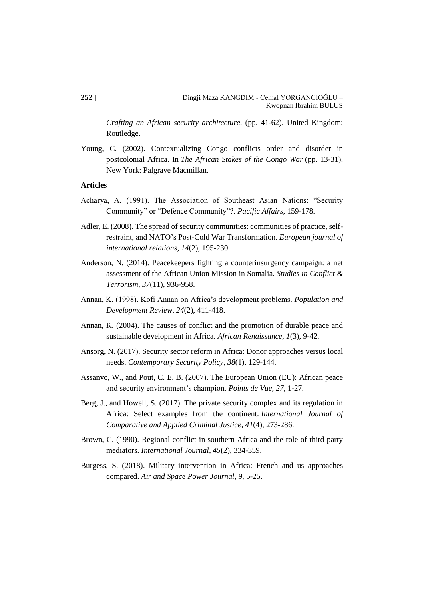*Crafting an African security architecture*, (pp. 41-62). United Kingdom: Routledge.

Young, C. (2002). Contextualizing Congo conflicts order and disorder in postcolonial Africa. In *The African Stakes of the Congo War* (pp. 13-31). New York: Palgrave Macmillan.

#### **Articles**

- Acharya, A. (1991). The Association of Southeast Asian Nations: "Security Community" or "Defence Community"?. *Pacific Affairs*, 159-178.
- Adler, E. (2008). The spread of security communities: communities of practice, selfrestraint, and NATO's Post-Cold War Transformation. *European journal of international relations*, *14*(2), 195-230.
- Anderson, N. (2014). Peacekeepers fighting a counterinsurgency campaign: a net assessment of the African Union Mission in Somalia. *Studies in Conflict & Terrorism*, *37*(11), 936-958.
- Annan, K. (1998). Kofi Annan on Africa's development problems. *Population and Development Review*, *24*(2), 411-418.
- Annan, K. (2004). The causes of conflict and the promotion of durable peace and sustainable development in Africa. *African Renaissance*, *1*(3), 9-42.
- Ansorg, N. (2017). Security sector reform in Africa: Donor approaches versus local needs. *Contemporary Security Policy*, *38*(1), 129-144.
- Assanvo, W., and Pout, C. E. B. (2007). The European Union (EU): African peace and security environment's champion. *Points de Vue*, *27*, 1-27.
- Berg, J., and Howell, S. (2017). The private security complex and its regulation in Africa: Select examples from the continent. *International Journal of Comparative and Applied Criminal Justice*, *41*(4), 273-286.
- Brown, C. (1990). Regional conflict in southern Africa and the role of third party mediators. *International Journal*, *45*(2), 334-359.
- Burgess, S. (2018). Military intervention in Africa: French and us approaches compared. *Air and Space Power Journal*, *9*, 5-25.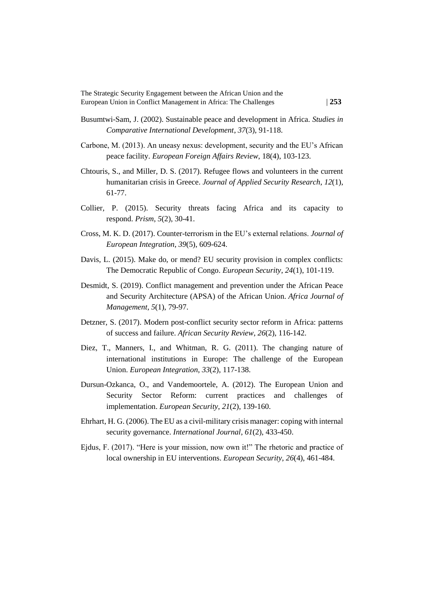- Busumtwi-Sam, J. (2002). Sustainable peace and development in Africa. *Studies in Comparative International Development*, *37*(3), 91-118.
- Carbone, M. (2013). An uneasy nexus: development, security and the EU's African peace facility. *European Foreign Affairs Review*, 18(4), 103-123.
- Chtouris, S., and Miller, D. S. (2017). Refugee flows and volunteers in the current humanitarian crisis in Greece. *Journal of Applied Security Research*, *12*(1), 61-77.
- Collier, P. (2015). Security threats facing Africa and its capacity to respond. *Prism*, *5*(2), 30-41.
- Cross, M. K. D. (2017). Counter-terrorism in the EU's external relations. *Journal of European Integration*, *39*(5), 609-624.
- Davis, L. (2015). Make do, or mend? EU security provision in complex conflicts: The Democratic Republic of Congo. *European Security*, *24*(1), 101-119.
- Desmidt, S. (2019). Conflict management and prevention under the African Peace and Security Architecture (APSA) of the African Union. *Africa Journal of Management*, *5*(1), 79-97.
- Detzner, S. (2017). Modern post-conflict security sector reform in Africa: patterns of success and failure. *African Security Review*, *26*(2), 116-142.
- Diez, T., Manners, I., and Whitman, R. G. (2011). The changing nature of international institutions in Europe: The challenge of the European Union. *European Integration*, *33*(2), 117-138.
- Dursun-Ozkanca, O., and Vandemoortele, A. (2012). The European Union and Security Sector Reform: current practices and challenges of implementation. *European Security*, *21*(2), 139-160.
- Ehrhart, H. G. (2006). The EU as a civil-military crisis manager: coping with internal security governance. *International Journal*, *61*(2), 433-450.
- Ejdus, F. (2017). "Here is your mission, now own it!" The rhetoric and practice of local ownership in EU interventions. *European Security*, *26*(4), 461-484.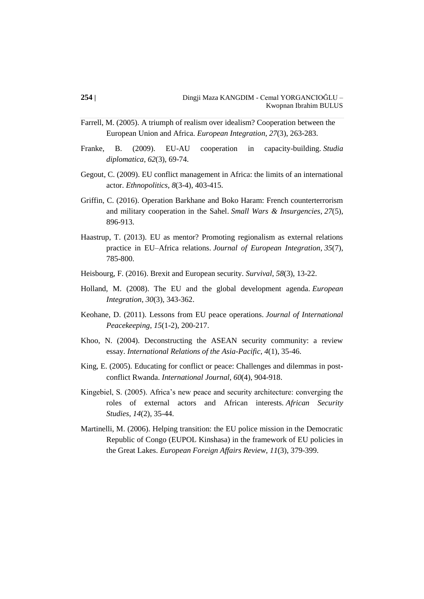- Farrell, M. (2005). A triumph of realism over idealism? Cooperation between the European Union and Africa. *European Integration*, *27*(3), 263-283.
- Franke, B. (2009). EU-AU cooperation in capacity-building. *Studia diplomatica*, *62*(3), 69-74.
- Gegout, C. (2009). EU conflict management in Africa: the limits of an international actor. *Ethnopolitics*, *8*(3-4), 403-415.
- Griffin, C. (2016). Operation Barkhane and Boko Haram: French counterterrorism and military cooperation in the Sahel. *Small Wars & Insurgencies*, *27*(5), 896-913.
- Haastrup, T. (2013). EU as mentor? Promoting regionalism as external relations practice in EU–Africa relations. *Journal of European Integration*, *35*(7), 785-800.
- Heisbourg, F. (2016). Brexit and European security. *Survival*, *58*(3), 13-22.
- Holland, M. (2008). The EU and the global development agenda. *European Integration*, *30*(3), 343-362.
- Keohane, D. (2011). Lessons from EU peace operations. *Journal of International Peacekeeping*, *15*(1-2), 200-217.
- Khoo, N. (2004). Deconstructing the ASEAN security community: a review essay. *International Relations of the Asia-Pacific*, *4*(1), 35-46.
- King, E. (2005). Educating for conflict or peace: Challenges and dilemmas in postconflict Rwanda. *International Journal*, *60*(4), 904-918.
- Kingebiel, S. (2005). Africa's new peace and security architecture: converging the roles of external actors and African interests. *African Security Studies*, *14*(2), 35-44.
- Martinelli, M. (2006). Helping transition: the EU police mission in the Democratic Republic of Congo (EUPOL Kinshasa) in the framework of EU policies in the Great Lakes. *European Foreign Affairs Review*, *11*(3), 379-399.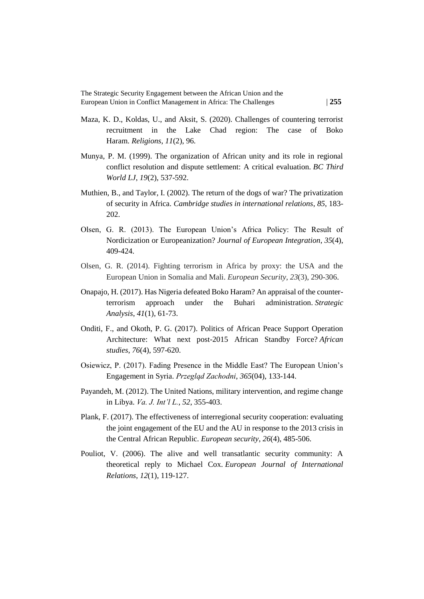- Maza, K. D., Koldas, U., and Aksit, S. (2020). Challenges of countering terrorist recruitment in the Lake Chad region: The case of Boko Haram. *Religions*, *11*(2), 96.
- Munya, P. M. (1999). The organization of African unity and its role in regional conflict resolution and dispute settlement: A critical evaluation. *BC Third World LJ*, *19*(2), 537-592.
- Muthien, B., and Taylor, I. (2002). The return of the dogs of war? The privatization of security in Africa. *Cambridge studies in international relations*, *85*, 183- 202.
- Olsen, G. R. (2013). The European Union's Africa Policy: The Result of Nordicization or Europeanization? *Journal of European Integration*, *35*(4), 409-424.
- Olsen, G. R. (2014). Fighting terrorism in Africa by proxy: the USA and the European Union in Somalia and Mali. *European Security*, *23*(3), 290-306.
- Onapajo, H. (2017). Has Nigeria defeated Boko Haram? An appraisal of the counterterrorism approach under the Buhari administration. *Strategic Analysis*, *41*(1), 61-73.
- Onditi, F., and Okoth, P. G. (2017). Politics of African Peace Support Operation Architecture: What next post-2015 African Standby Force? *African studies*, *76*(4), 597-620.
- Osiewicz, P. (2017). Fading Presence in the Middle East? The European Union's Engagement in Syria. *Przegląd Zachodni*, *365*(04), 133-144.
- Payandeh, M. (2012). The United Nations, military intervention, and regime change in Libya. *Va. J. Int'l L.*, *52*, 355-403.
- Plank, F. (2017). The effectiveness of interregional security cooperation: evaluating the joint engagement of the EU and the AU in response to the 2013 crisis in the Central African Republic. *European security*, *26*(4), 485-506.
- Pouliot, V. (2006). The alive and well transatlantic security community: A theoretical reply to Michael Cox. *European Journal of International Relations*, *12*(1), 119-127.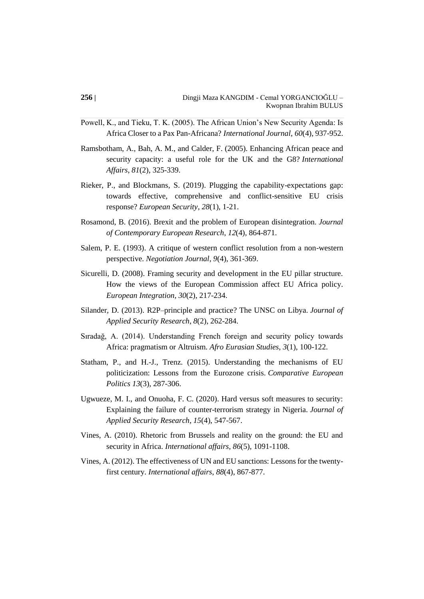- Powell, K., and Tieku, T. K. (2005). The African Union's New Security Agenda: Is Africa Closer to a Pax Pan-Africana? *International Journal*, *60*(4), 937-952.
- Ramsbotham, A., Bah, A. M., and Calder, F. (2005). Enhancing African peace and security capacity: a useful role for the UK and the G8? *International Affairs*, *81*(2), 325-339.
- Rieker, P., and Blockmans, S. (2019). Plugging the capability-expectations gap: towards effective, comprehensive and conflict-sensitive EU crisis response? *European Security*, *28*(1), 1-21.
- Rosamond, B. (2016). Brexit and the problem of European disintegration. *Journal of Contemporary European Research*, *12*(4), 864-871.
- Salem, P. E. (1993). A critique of western conflict resolution from a non-western perspective. *Negotiation Journal*, *9*(4), 361-369.
- Sicurelli, D. (2008). Framing security and development in the EU pillar structure. How the views of the European Commission affect EU Africa policy. *European Integration*, *30*(2), 217-234.
- Silander, D. (2013). R2P–principle and practice? The UNSC on Libya. *Journal of Applied Security Research*, *8*(2), 262-284.
- Sıradağ, A. (2014). Understanding French foreign and security policy towards Africa: pragmatism or Altruism. *Afro Eurasian Studies*, *3*(1), 100-122.
- Statham, P., and H.-J., Trenz. (2015). Understanding the mechanisms of EU politicization: Lessons from the Eurozone crisis. *Comparative European Politics 13*(3), 287-306.
- Ugwueze, M. I., and Onuoha, F. C. (2020). Hard versus soft measures to security: Explaining the failure of counter-terrorism strategy in Nigeria. *Journal of Applied Security Research*, *15*(4), 547-567.
- Vines, A. (2010). Rhetoric from Brussels and reality on the ground: the EU and security in Africa. *International affairs*, *86*(5), 1091-1108.
- Vines, A. (2012). The effectiveness of UN and EU sanctions: Lessons for the twentyfirst century. *International affairs*, *88*(4), 867-877.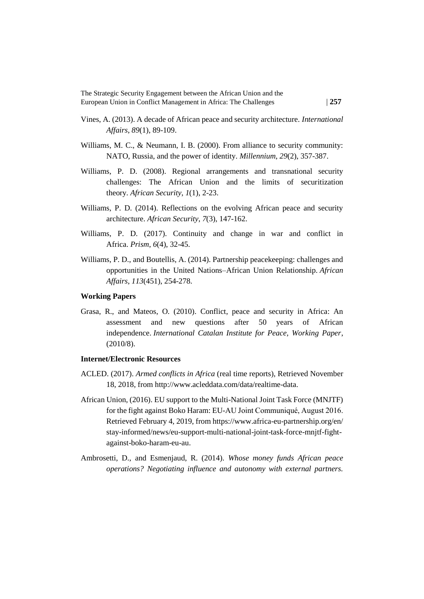- Vines, A. (2013). A decade of African peace and security architecture. *International Affairs*, *89*(1), 89-109.
- Williams, M. C., & Neumann, I. B. (2000). From alliance to security community: NATO, Russia, and the power of identity. *Millennium*, *29*(2), 357-387.
- Williams, P. D. (2008). Regional arrangements and transnational security challenges: The African Union and the limits of securitization theory. *African Security*, *1*(1), 2-23.
- Williams, P. D. (2014). Reflections on the evolving African peace and security architecture. *African Security*, *7*(3), 147-162.
- Williams, P. D. (2017). Continuity and change in war and conflict in Africa. *Prism*, *6*(4), 32-45.
- Williams, P. D., and Boutellis, A. (2014). Partnership peacekeeping: challenges and opportunities in the United Nations–African Union Relationship. *African Affairs*, *113*(451), 254-278.

#### **Working Papers**

Grasa, R., and Mateos, O. (2010). Conflict, peace and security in Africa: An assessment and new questions after 50 years of African independence. *International Catalan Institute for Peace, Working Paper*, (2010/8).

#### **Internet/Electronic Resources**

- ACLED. (2017). *Armed conflicts in Africa* (real time reports), Retrieved November 18, 2018, from [http://www.acleddata.com/data/realtime-data.](http://www.acleddata.com/data/realtime-data)
- African Union, (2016). EU support to the Multi-National Joint Task Force (MNJTF) for the fight against Boko Haram: EU-AU Joint Communiqué, August 2016. Retrieved February 4, 2019, from https://www.africa-eu-partnership.org/en/ stay-informed/news/eu-support-multi-national-joint-task-force-mnjtf-fightagainst-boko-haram-eu-au.
- Ambrosetti, D., and Esmenjaud, R. (2014). *Whose money funds African peace operations? Negotiating influence and autonomy with external partners.*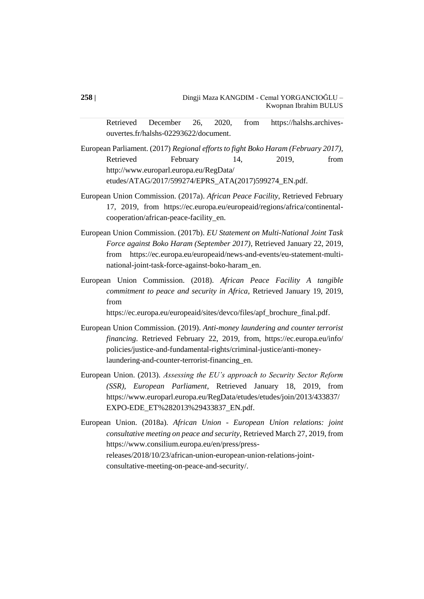Retrieved December 26, 2020, from https://halshs.archivesouvertes.fr/halshs-02293622/document.

European Parliament. (2017) *Regional efforts to fight Boko Haram (February 2017)*, Retrieved February 14, 2019, from http://www.europarl.europa.eu/RegData/ etudes/ATAG/2017/599274/EPRS\_ATA(2017)599274\_EN.pdf.

European Union Commission. (2017a). *African Peace Facility*, Retrieved February 17, 2019, from https://ec.europa.eu/europeaid/regions/africa/continentalcooperation/african-peace-facility\_en.

European Union Commission. (2017b). *EU Statement on Multi-National Joint Task Force against Boko Haram (September 2017)*, Retrieved January 22, 2019, from https://ec.europa.eu/europeaid/news-and-events/eu-statement-multinational-joint-task-force-against-boko-haram\_en.

European Union Commission. (2018). *African Peace Facility A tangible commitment to peace and security in Africa*, Retrieved January 19, 2019, from

https://ec.europa.eu/europeaid/sites/devco/files/apf\_brochure\_final.pdf.

- European Union Commission. (2019). *Anti-money laundering and counter terrorist financing*. Retrieved February 22, 2019, from, https://ec.europa.eu/info/ policies/justice-and-fundamental-rights/criminal-justice/anti-moneylaundering-and-counter-terrorist-financing\_en.
- European Union. (2013). *Assessing the EU's approach to Security Sector Reform (SSR), European Parliament*, Retrieved January 18, 2019, from https://www.europarl.europa.eu/RegData/etudes/etudes/join/2013/433837/ EXPO-EDE\_ET%282013%29433837\_EN.pdf.

European Union. (2018a). *African Union - European Union relations: joint consultative meeting on peace and security*, Retrieved March 27, 2019, from [https://www.consilium.europa.eu/en/press/press](https://www.consilium.europa.eu/en/press/press-releases/2018/10/23/african-union-european-union-relations-joint-consultative-meeting-on-peace-and-security/)[releases/2018/10/23/african-union-european-union-relations-joint](https://www.consilium.europa.eu/en/press/press-releases/2018/10/23/african-union-european-union-relations-joint-consultative-meeting-on-peace-and-security/)[consultative-meeting-on-peace-and-security/.](https://www.consilium.europa.eu/en/press/press-releases/2018/10/23/african-union-european-union-relations-joint-consultative-meeting-on-peace-and-security/)